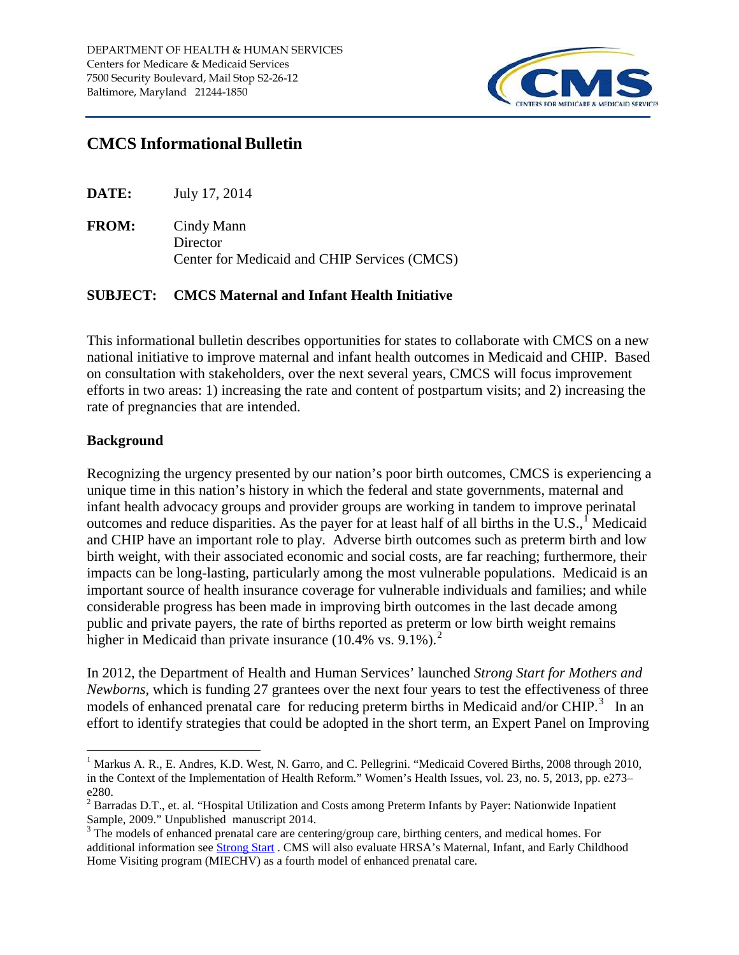

# **CMCS Informational Bulletin**

| DATE:<br>July 17, 2014 |  |
|------------------------|--|
|------------------------|--|

**FROM:** Cindy Mann **Director** Center for Medicaid and CHIP Services (CMCS)

#### **SUBJECT: CMCS Maternal and Infant Health Initiative**

This informational bulletin describes opportunities for states to collaborate with CMCS on a new national initiative to improve maternal and infant health outcomes in Medicaid and CHIP. Based on consultation with stakeholders, over the next several years, CMCS will focus improvement efforts in two areas: 1) increasing the rate and content of postpartum visits; and 2) increasing the rate of pregnancies that are intended.

#### **Background**

Recognizing the urgency presented by our nation's poor birth outcomes, CMCS is experiencing a unique time in this nation's history in which the federal and state governments, maternal and infant health advocacy groups and provider groups are working in tandem to improve perinatal outcomes and reduce disparities. As the payer for at least half of all births in the U.S.,  $\int$  Medicaid and CHIP have an important role to play. Adverse birth outcomes such as preterm birth and low birth weight, with their associated economic and social costs, are far reaching; furthermore, their impacts can be long-lasting, particularly among the most vulnerable populations. Medicaid is an important source of health insurance coverage for vulnerable individuals and families; and while considerable progress has been made in improving birth outcomes in the last decade among public and private payers, the rate of births reported as preterm or low birth weight remains higher in Medicaid than private insurance  $(10.4\% \text{ vs. } 9.1\%).^2$  $(10.4\% \text{ vs. } 9.1\%).^2$ 

In 2012, the Department of Health and Human Services' launched *Strong Start for Mothers and Newborns*, which is funding 27 grantees over the next four years to test the effectiveness of three models of enhanced prenatal care for reducing preterm births in Medicaid and/or CHIP.<sup>[3](#page-0-2)</sup> In an effort to identify strategies that could be adopted in the short term, an Expert Panel on Improving

<span id="page-0-0"></span><sup>&</sup>lt;sup>1</sup> Markus A. R., E. Andres, K.D. West, N. Garro, and C. Pellegrini. "Medicaid Covered Births, 2008 through 2010, in the Context of the Implementation of Health Reform." Women's Health Issues, vol. 23, no. 5, 2013, pp. e273– e280.

<span id="page-0-1"></span> $2$  Barradas D.T., et. al. "Hospital Utilization and Costs among Preterm Infants by Payer: Nationwide Inpatient Sample, 2009." Unpublished manuscript 2014.

<span id="page-0-2"></span> $3$  The models of enhanced prenatal care are centering/group care, birthing centers, and medical homes. For additional information see [Strong Start](http://innovations.cms.gov/initiatives/Strong-Start/) . CMS will also evaluate HRSA's Maternal, Infant, and Early Childhood Home Visiting program (MIECHV) as a fourth model of enhanced prenatal care.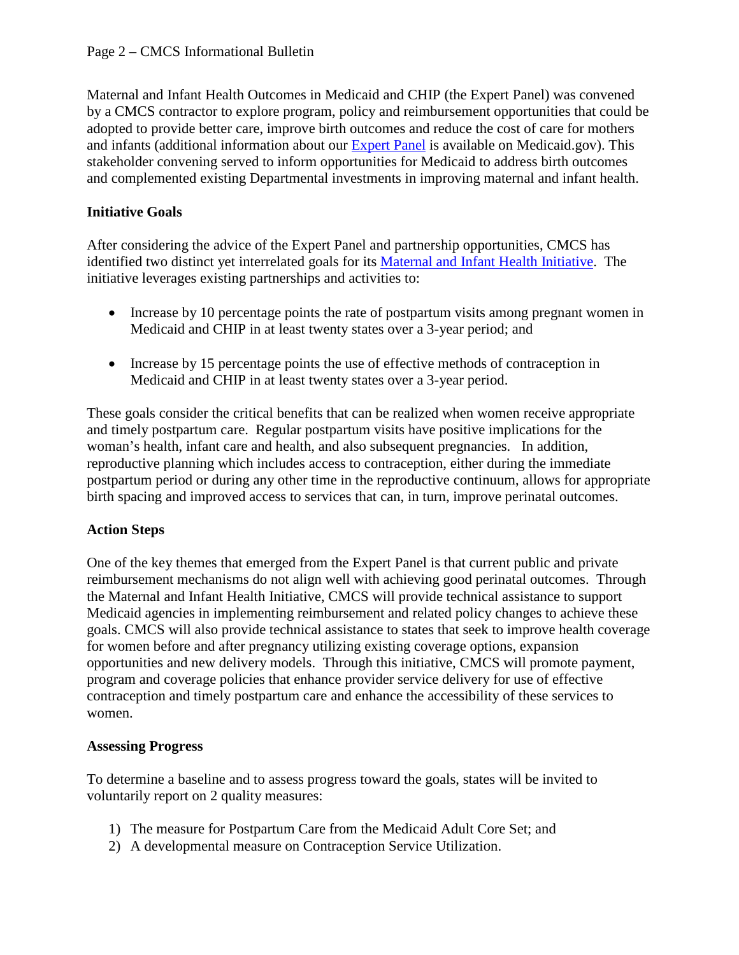Maternal and Infant Health Outcomes in Medicaid and CHIP (the Expert Panel) was convened by a CMCS contractor to explore program, policy and reimbursement opportunities that could be adopted to provide better care, improve birth outcomes and reduce the cost of care for mothers and infants (additional information about our [Expert Panel](http://www.medicaid.gov/Medicaid-CHIP-Program-Information/By-Topics/Quality-of-Care/Maternal-and-Infant-Health-Care-Quality.html) is available on Medicaid.gov). This stakeholder convening served to inform opportunities for Medicaid to address birth outcomes and complemented existing Departmental investments in improving maternal and infant health.

### **Initiative Goals**

After considering the advice of the Expert Panel and partnership opportunities, CMCS has identified two distinct yet interrelated goals for its [Maternal and Infant Health Initiative.](http://www.medicaid.gov/Medicaid-CHIP-Program-Information/By-Topics/Quality-of-Care/Downloads/Maternal-and-Infant-Health-Initiative.pdf) The initiative leverages existing partnerships and activities to:

- Increase by 10 percentage points the rate of postpartum visits among pregnant women in Medicaid and CHIP in at least twenty states over a 3-year period; and
- Increase by 15 percentage points the use of effective methods of contraception in Medicaid and CHIP in at least twenty states over a 3-year period.

These goals consider the critical benefits that can be realized when women receive appropriate and timely postpartum care. Regular postpartum visits have positive implications for the woman's health, infant care and health, and also subsequent pregnancies. In addition, reproductive planning which includes access to contraception, either during the immediate postpartum period or during any other time in the reproductive continuum, allows for appropriate birth spacing and improved access to services that can, in turn, improve perinatal outcomes.

## **Action Steps**

One of the key themes that emerged from the Expert Panel is that current public and private reimbursement mechanisms do not align well with achieving good perinatal outcomes. Through the Maternal and Infant Health Initiative, CMCS will provide technical assistance to support Medicaid agencies in implementing reimbursement and related policy changes to achieve these goals. CMCS will also provide technical assistance to states that seek to improve health coverage for women before and after pregnancy utilizing existing coverage options, expansion opportunities and new delivery models. Through this initiative, CMCS will promote payment, program and coverage policies that enhance provider service delivery for use of effective contraception and timely postpartum care and enhance the accessibility of these services to women.

#### **Assessing Progress**

To determine a baseline and to assess progress toward the goals, states will be invited to voluntarily report on 2 quality measures:

- 1) The measure for Postpartum Care from the Medicaid Adult Core Set; and
- 2) A developmental measure on Contraception Service Utilization.